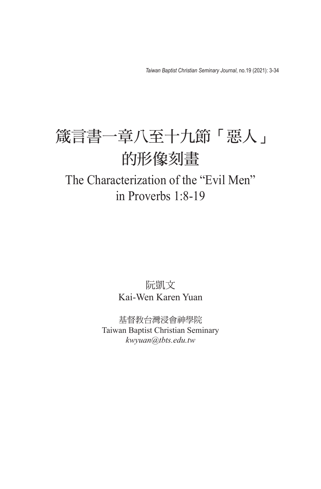*Taiwan Baptist Christian Seminary Journal*, no.19 (2021): 3-34

# 箴言書一章八至十九節「惡人」 的形像刻畫

## The Characterization of the "Evil Men" in Proverbs 1:8-19

## 阮凱文 Kai-Wen Karen Yuan

基督教台灣浸會神學院 Taiwan Baptist Christian Seminary *kwyuan@tbts.edu.tw*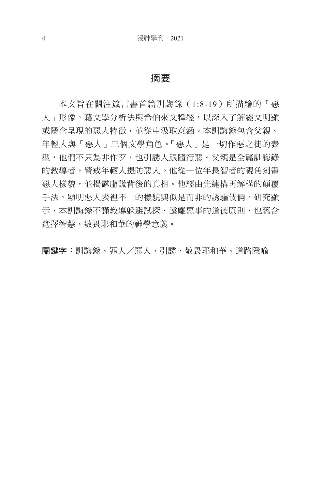### 摘要

本文旨在關注箴言書首篇訓誨錄(1:8-19)所描繪的「惡 人﹐形像,藉文學分析法與希伯來文釋經,以深入了解經文明顯 或隱含呈現的惡人特徵,並從中汲取意涵。本訓誨錄包含父親、 年輕人與「惡人」三個文學角色。「惡人」是一切作惡之徒的表 型,他們不只為非作歹,也引誘人跟隨行惡。父親是全篇訓誨錄 的教導者,警戒年輕人提防惡人。他從一位年長智者的視角刻畫 惡人樣貌,並揭露虛謊背後的真相。他經由先建構再解構的顛覆 手法,顯明惡人表裡不一的樣貌與似是而非的誘騙伎倆。研究顯 示,本訓誨錄不謹教導躲避試探、遠離惡事的道德原則,也蘊含 選擇智慧、敬畏耶和華的神學意義。

關鍵字:訓誨錄、罪人/惡人、引誘、敬畏耶和華、道路隱喻